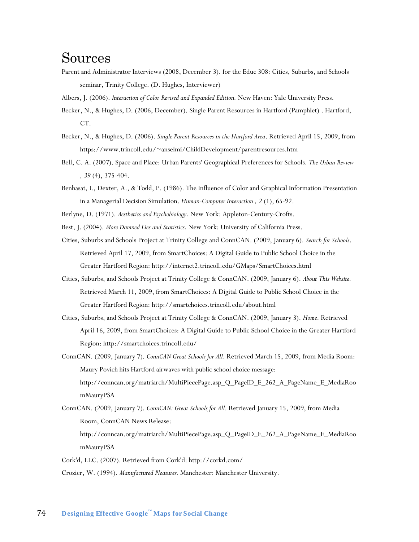### Sources

- Parent and Administrator Interviews (2008, December 3). for the Educ 308: Cities, Suburbs, and Schools seminar, Trinity College. (D. Hughes, Interviewer)
- Albers, J. (2006). *Interaction of Color Revised and Expanded Edition.* New Haven: Yale University Press.
- Becker, N., & Hughes, D. (2006, December). Single Parent Resources in Hartford (Pamphlet) . Hartford, CT.
- Becker, N., & Hughes, D. (2006). *Single Parent Resources in the Hartford Area*. Retrieved April 15, 2009, from https://www.trincoll.edu/~anselmi/ChildDevelopment/parentresources.htm
- Bell, C. A. (2007). Space and Place: Urban Parents' Geographical Preferences for Schools. *The Urban Review , 39* (4), 375-404.
- Benbasat, I., Dexter, A., & Todd, P. (1986). The Influence of Color and Graphical Information Presentation in a Managerial Decision Simulation. *Human-Computer Interaction , 2* (1), 65-92.
- Berlyne, D. (1971). *Aesthetics and Psychobiology.* New York: Appleton-Century-Crofts.
- Best, J. (2004). *More Damned Lies and Statistics.* New York: University of California Press.
- Cities, Suburbs and Schools Project at Trinity College and ConnCAN. (2009, January 6). *Search for Schools*. Retrieved April 17, 2009, from SmartChoices: A Digital Guide to Public School Choice in the Greater Hartford Region: http://internet2.trincoll.edu/GMaps/SmartChoices.html
- Cities, Suburbs, and Schools Project at Trinity College & ConnCAN. (2009, January 6). *About This Website.* Retrieved March 11, 2009, from SmartChoices: A Digital Guide to Public School Choice in the Greater Hartford Region: http://smartchoices.trincoll.edu/about.html
- Cities, Suburbs, and Schools Project at Trinity College & ConnCAN. (2009, January 3). *Home*. Retrieved April 16, 2009, from SmartChoices: A Digital Guide to Public School Choice in the Greater Hartford Region: http://smartchoices.trincoll.edu/
- ConnCAN. (2009, January 7). *ConnCAN Great Schools for All*. Retrieved March 15, 2009, from Media Room: Maury Povich hits Hartford airwaves with public school choice message: http://conncan.org/matriarch/MultiPiecePage.asp\_Q\_PageID\_E\_262\_A\_PageName\_E\_MediaRoo mMauryPSA
- ConnCAN. (2009, January 7). *ConnCAN: Great Schools for All*. Retrieved January 15, 2009, from Media Room, ConnCAN News Release:
	- http://conncan.org/matriarch/MultiPiecePage.asp\_Q\_PageID\_E\_262\_A\_PageName\_E\_MediaRoo mMauryPSA
- Cork'd, LLC. (2007). Retrieved from Cork'd: http://corkd.com/
- Crozier, W. (1994). *Manufactured Pleasures.* Manchester: Manchester University.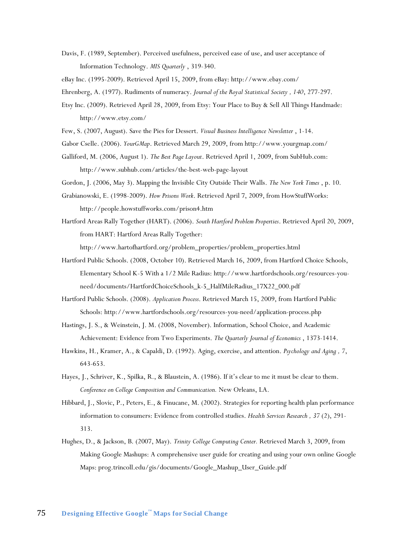Davis, F. (1989, September). Perceived usefulness, perceived ease of use, and user acceptance of Information Technology. *MIS Quarterly* , 319-340.

eBay Inc. (1995-2009). Retrieved April 15, 2009, from eBay: http://www.ebay.com/

- Ehrenberg, A. (1977). Rudiments of numeracy. *Journal of the Royal Statistical Society , 140*, 277-297.
- Etsy Inc. (2009). Retrieved April 28, 2009, from Etsy: Your Place to Buy & Sell All Things Handmade: http://www.etsy.com/
- Few, S. (2007, August). Save the Pies for Dessert. *Visual Business Intelligence Newsletter* , 1-14.
- Gabor Cselle. (2006). *YourGMap*. Retrieved March 29, 2009, from http://www.yourgmap.com/
- Galliford, M. (2006, August 1). *The Best Page Layout*. Retrieved April 1, 2009, from SubHub.com: http://www.subhub.com/articles/the-best-web-page-layout
- Gordon, J. (2006, May 3). Mapping the Invisible City Outside Their Walls. *The New York Times* , p. 10.
- Grabianowski, E. (1998-2009). *How Prisons Work*. Retrieved April 7, 2009, from HowStuffWorks: http://people.howstuffworks.com/prison4.htm
- Hartford Areas Rally Together (HART). (2006). *South Hartford Problem Properties*. Retrieved April 20, 2009, from HART: Hartford Areas Rally Together:

http://www.hartofhartford.org/problem\_properties/problem\_properties.html

- Hartford Public Schools. (2008, October 10). Retrieved March 16, 2009, from Hartford Choice Schools, Elementary School K-5 With a 1/2 Mile Radius: http://www.hartfordschools.org/resources-youneed/documents/HartfordChoiceSchools\_k-5\_HalfMileRadius\_17X22\_000.pdf
- Hartford Public Schools. (2008). *Application Process*. Retrieved March 15, 2009, from Hartford Public Schools: http://www.hartfordschools.org/resources-you-need/application-process.php
- Hastings, J. S., & Weinstein, J. M. (2008, November). Information, School Choice, and Academic Achievement: Evidence from Two Experiments. *The Quarterly Journal of Economics* , 1373-1414.
- Hawkins, H., Kramer, A., & Capaldi, D. (1992). Aging, exercise, and attention. *Psychology and Aging , 7*, 643-653.
- Hayes, J., Schriver, K., Spilka, R., & Blaustein, A. (1986). If it's clear to me it must be clear to them. *Conference on College Composition and Communication.* New Orleans, LA.
- Hibbard, J., Slovic, P., Peters, E., & Finucane, M. (2002). Strategies for reporting health plan performance information to consumers: Evidence from controlled studies. *Health Services Research , 37* (2), 291- 313.
- Hughes, D., & Jackson, B. (2007, May). *Trinity College Computing Center.* Retrieved March 3, 2009, from Making Google Mashups: A comprehensive user guide for creating and using your own online Google Maps: prog.trincoll.edu/gis/documents/Google\_Mashup\_User\_Guide.pdf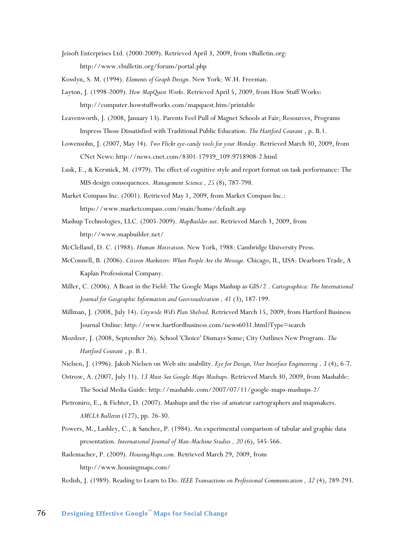Jeisoft Enterprises Ltd. (2000-2009). Retrieved April 3, 2009, from vBulletin.org: http://www.vbulletin.org/forum/portal.php

Kosslyn, S. M. (1994). *Elements of Graph Design.* New York: W.H. Freeman.

- Layton, J. (1998-2009). *How MapQuest Works*. Retrieved April 5, 2009, from How Stuff Works: http://computer.howstuffworks.com/mapquest.htm/printable
- Leavenworth, J. (2008, January 13). Parents Feel Pull of Magnet Schools at Fair; Resources, Programs Impress Those Dissatisfied with Traditional Public Education. *The Hartford Courant* , p. B.1.
- Lowensohn, J. (2007, May 14). *Two Flickr eye-candy tools for your Monday*. Retrieved March 30, 2009, from CNet News: http://news.cnet.com/8301-17939\_109-9718908-2.html
- Lusk, E., & Kersnick, M. (1979). The effect of cognitive style and report format on task performance: The MIS design consequences. *Management Science , 25* (8), 787-798.
- Market Compass Inc. (2001). Retrieved May 1, 2009, from Market Compass Inc.: https://www.marketcompass.com/main/home/default.asp
- Mashup Technologies, LLC. (2005-2009). *MapBuilder.net*. Retrieved March 3, 2009, from http://www.mapbuilder.net/
- McClelland, D. C. (1988). *Human Motivation.* New York, 1988: Cambridge University Press.
- McConnell, B. (2006). *Citizen Marketers: When People Are the Message.* Chicago, IL, USA: Dearborn Trade, A Kaplan Professional Company.
- Miller, C. (2006). A Beast in the Field: The Google Maps Mashup as GIS/2 . *Cartographica: The International Journal for Geographic Information and Geovisualization , 41* (3), 187-199.
- Millman, J. (2008, July 14). *Citywide WiFi Plan Shelved.* Retrieved March 15, 2009, from Hartford Business Journal Online: http://www.hartfordbusiness.com/news6031.html?Type=search
- Mozdzer, J. (2008, September 26). School 'Choice' Dismays Some; City Outlines New Program. *The Hartford Courant* , p. B.1.
- Nielsen, J. (1996). Jakob Nielsen on Web site usability. *Eye for Design, User Interface Engineering , 3* (4), 6-7.
- Ostrow, A. (2007, July 11). *13 Must-See Google Maps Mashups*. Retrieved March 30, 2009, from Mashable: The Social Media Guide: http://mashable.com/2007/07/11/google-maps-mashups-2/
- Pietroniro, E., & Fichter, D. (2007). Mashups and the rise of amateur cartographers and mapmakers. *AMCLA Bulletin* (127), pp. 26-30.
- Powers, M., Lashley, C., & Sanchez, P. (1984). An experimental comparison of tabular and graphic data presentation. *International Journal of Man-Machine Studies , 20* (6), 545-566.
- Rademacher, P. (2009). *HousingMaps.com*. Retrieved March 29, 2009, from http://www.housingmaps.com/
- Redish, J. (1989). Reading to Learn to Do. *IEEE Transactions on Professional Communication , 32* (4), 289-293.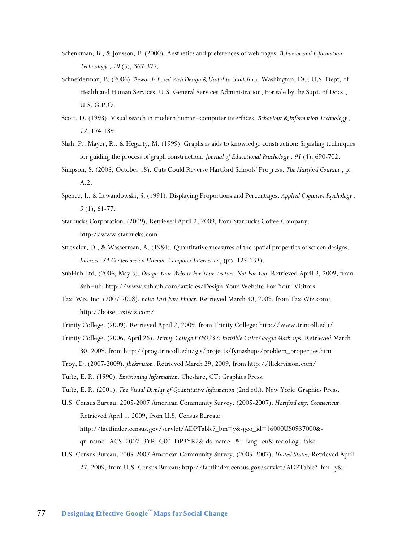- Schenkman, B., & Jönsson, F. (2000). Aesthetics and preferences of web pages. *Behavior and Information Technology , 19* (5), 367-377.
- Schneiderman, B. (2006). *Research-Based Web Design & Usability Guidelines.* Washington, DC: U.S. Dept. of Health and Human Services, U.S. General Services Administration, For sale by the Supt. of Docs., U.S. G.P.O.
- Scott, D. (1993). Visual search in modern human–computer interfaces. *Behaviour & Information Technology , 12*, 174-189.
- Shah, P., Mayer, R., & Hegarty, M. (1999). Graphs as aids to knowledge construction: Signaling techniques for guiding the process of graph construction. *Journal of Educational Psuchology , 91* (4), 690-702.
- Simpson, S. (2008, October 18). Cuts Could Reverse Hartford Schools' Progress. *The Hartford Courant* , p. A.2.
- Spence, I., & Lewandowski, S. (1991). Displaying Proportions and Percentages. *Applied Cognitive Psychology , 5* (1), 61-77.
- Starbucks Corporation. (2009). Retrieved April 2, 2009, from Starbucks Coffee Company: http://www.starbucks.com
- Streveler, D., & Wasserman, A. (1984). Quantitative measures of the spatial properties of screen designs. *Interact ‗84 Conference on Human–Computer Interaction*, (pp. 125-133).
- SubHub Ltd. (2006, May 3). *Design Your Website For Your Visitors, Not For You*. Retrieved April 2, 2009, from SubHub: http://www.subhub.com/articles/Design-Your-Website-For-Your-Visitors
- Taxi Wiz, Inc. (2007-2008). *Boise Taxi Fare Finder*. Retrieved March 30, 2009, from TaxiWiz.com: http://boise.taxiwiz.com/
- Trinity College. (2009). Retrieved April 2, 2009, from Trinity College: http://www.trincoll.edu/
- Trinity College. (2006, April 26). *Trinity College FYFO232: Invisible Cities Google Mash-ups*. Retrieved March 30, 2009, from http://prog.trincoll.edu/gis/projects/fymashups/problem\_properties.htm
- Troy, D. (2007-2009). *flickrvision*. Retrieved March 29, 2009, from http://flickrvision.com/
- Tufte, E. R. (1990). *Envisioning Information.* Cheshire, CT: Graphics Press.
- Tufte, E. R. (2001). *The Visual Display of Quantitative Information* (2nd ed.). New York: Graphics Press.
- U.S. Census Bureau, 2005-2007 American Community Survey. (2005-2007). *Hartford city, Connecticut*. Retrieved April 1, 2009, from U.S. Census Bureau:

http://factfinder.census.gov/servlet/ADPTable?\_bm=y&-geo\_id=16000US0937000&-

qr\_name=ACS\_2007\_3YR\_G00\_DP3YR2&-ds\_name=&-\_lang=en&-redoLog=false

U.S. Census Bureau, 2005-2007 American Community Survey. (2005-2007). *United States*. Retrieved April 27, 2009, from U.S. Census Bureau: http://factfinder.census.gov/servlet/ADPTable?\_bm=y&-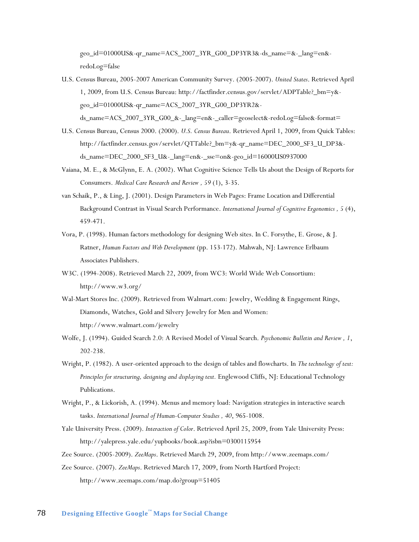geo\_id=01000US&-qr\_name=ACS\_2007\_3YR\_G00\_DP3YR3&-ds\_name=&-\_lang=en& redoLog=false

- U.S. Census Bureau, 2005-2007 American Community Survey. (2005-2007). *United States*. Retrieved April 1, 2009, from U.S. Census Bureau: http://factfinder.census.gov/servlet/ADPTable?\_bm=y& geo\_id=01000US&-qr\_name=ACS\_2007\_3YR\_G00\_DP3YR2& ds\_name=ACS\_2007\_3YR\_G00\_&-\_lang=en&-\_caller=geoselect&-redoLog=false&-format=
- U.S. Census Bureau, Census 2000. (2000). *U.S. Census Bureau*. Retrieved April 1, 2009, from Quick Tables: http://factfinder.census.gov/servlet/QTTable?\_bm=y&-qr\_name=DEC\_2000\_SF3\_U\_DP3& ds\_name=DEC\_2000\_SF3\_U&-\_lang=en&-\_sse=on&-geo\_id=16000US0937000
- Vaiana, M. E., & McGlynn, E. A. (2002). What Cognitive Science Tells Us about the Design of Reports for Consumers. *Medical Care Research and Review , 59* (1), 3-35.
- van Schaik, P., & Ling, J. (2001). Design Parameters in Web Pages: Frame Location and Differential Background Contrast in Visual Search Performance. *International Journal of Cognitive Ergonomics , 5* (4), 459-471.
- Vora, P. (1998). Human factors methodology for designing Web sites. In C. Forsythe, E. Grose, & J. Ratner, *Human Factors and Web Development* (pp. 153-172). Mahwah, NJ: Lawrence Erlbaum Associates Publishers.
- W3C. (1994-2008). Retrieved March 22, 2009, from WC3: World Wide Web Consortium: http://www.w3.org/
- Wal-Mart Stores Inc. (2009). Retrieved from Walmart.com: Jewelry, Wedding & Engagement Rings, Diamonds, Watches, Gold and Silvery Jewelry for Men and Women: http://www.walmart.com/jewelry
- Wolfe, J. (1994). Guided Search 2.0: A Revised Model of Visual Search. *Psychonomic Bulletin and Review , 1*, 202-238.
- Wright, P. (1982). A user-oriented approach to the design of tables and flowcharts. In *The technology of text: Principles for structuring, designing and displaying text.* Englewood Cliffs, NJ: Educational Technology Publications.
- Wright, P., & Lickorish, A. (1994). Menus and memory load: Navigation strategies in interactive search tasks. *International Journal of Human-Computer Studies , 40*, 965-1008.
- Yale University Press. (2009). *Interaction of Color*. Retrieved April 25, 2009, from Yale University Press: http://yalepress.yale.edu/yupbooks/book.asp?isbn=0300115954
- Zee Source. (2005-2009). *ZeeMaps*. Retrieved March 29, 2009, from http://www.zeemaps.com/
- Zee Source. (2007). *ZeeMaps*. Retrieved March 17, 2009, from North Hartford Project: http://www.zeemaps.com/map.do?group=51405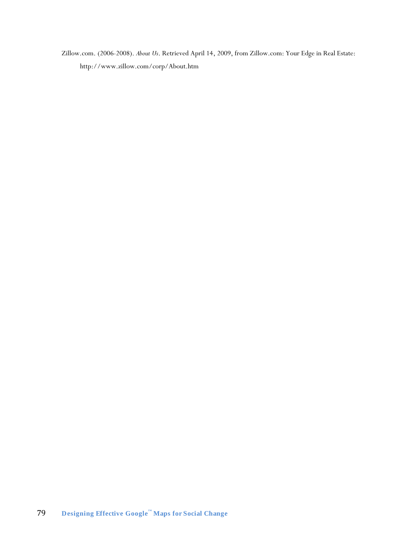Zillow.com. (2006-2008). *About Us*. Retrieved April 14, 2009, from Zillow.com: Your Edge in Real Estate: http://www.zillow.com/corp/About.htm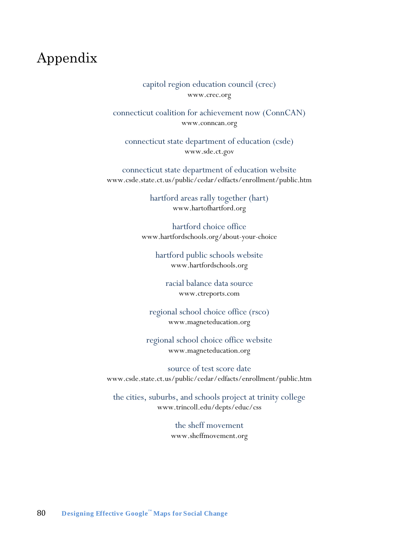## Appendix

capitol region education council (crec) www.crec.org

connecticut coalition for achievement now (ConnCAN) www.conncan.org

connecticut state department of education (csde) www.sde.ct.gov

connecticut state department of education website www.csde.state.ct.us/public/cedar/edfacts/enrollment/public.htm

> hartford areas rally together (hart) www.hartofhartford.org

hartford choice office www.hartfordschools.org/about-your-choice

hartford public schools website www.hartfordschools.org

racial balance data source www.ctreports.com

regional school choice office (rsco) www.magneteducation.org

regional school choice office website www.magneteducation.org

source of test score date www.csde.state.ct.us/public/cedar/edfacts/enrollment/public.htm

the cities, suburbs, and schools project at trinity college www.trincoll.edu/depts/educ/css

> the sheff movement www.sheffmovement.org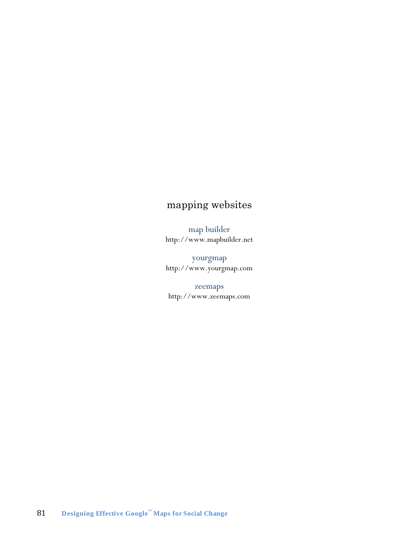#### mapping websites

map builder http://www.mapbuilder.net

yourgmap http://www.yourgmap.com

zeemaps http://www.zeemaps.com